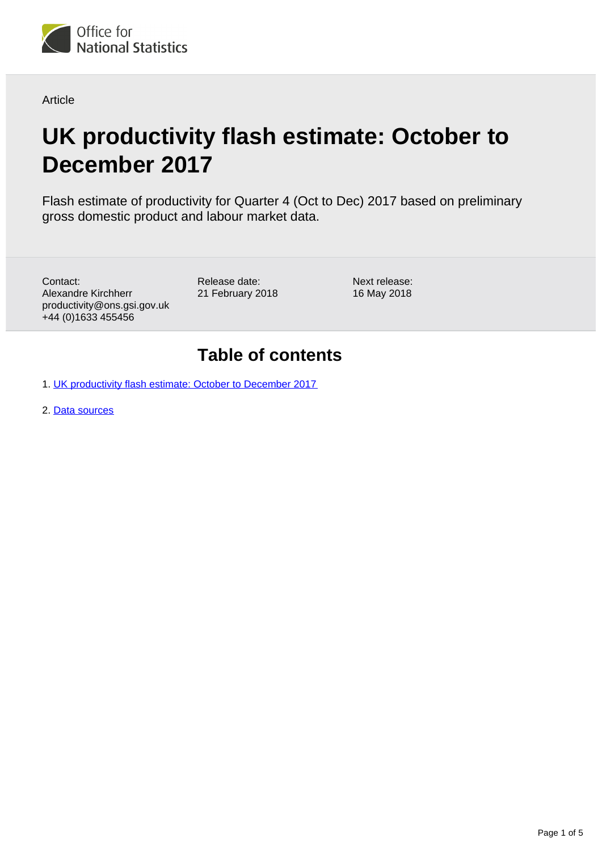

Article

# **UK productivity flash estimate: October to December 2017**

Flash estimate of productivity for Quarter 4 (Oct to Dec) 2017 based on preliminary gross domestic product and labour market data.

Contact: Alexandre Kirchherr productivity@ons.gsi.gov.uk +44 (0)1633 455456

Release date: 21 February 2018 Next release: 16 May 2018

### **Table of contents**

1. [UK productivity flash estimate: October to December 2017](#page-1-0)

2. [Data sources](#page-4-0)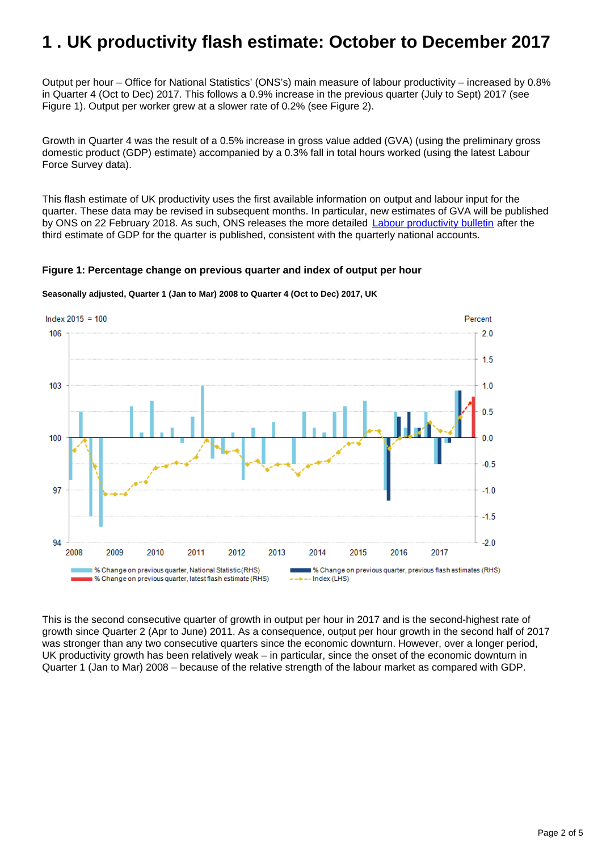# <span id="page-1-0"></span>**1 . UK productivity flash estimate: October to December 2017**

Output per hour – Office for National Statistics' (ONS's) main measure of labour productivity – increased by 0.8% in Quarter 4 (Oct to Dec) 2017. This follows a 0.9% increase in the previous quarter (July to Sept) 2017 (see Figure 1). Output per worker grew at a slower rate of 0.2% (see Figure 2).

Growth in Quarter 4 was the result of a 0.5% increase in gross value added (GVA) (using the preliminary gross domestic product (GDP) estimate) accompanied by a 0.3% fall in total hours worked (using the latest Labour Force Survey data).

This flash estimate of UK productivity uses the first available information on output and labour input for the quarter. These data may be revised in subsequent months. In particular, new estimates of GVA will be published by ONS on 22 February 2018. As such, ONS releases the more detailed **[Labour productivity bulletin](https://www.ons.gov.uk/employmentandlabourmarket/peopleinwork/labourproductivity/bulletins/labourproductivity/latest) after the** third estimate of GDP for the quarter is published, consistent with the quarterly national accounts.

#### **Figure 1: Percentage change on previous quarter and index of output per hour**



**Seasonally adjusted, Quarter 1 (Jan to Mar) 2008 to Quarter 4 (Oct to Dec) 2017, UK**

This is the second consecutive quarter of growth in output per hour in 2017 and is the second-highest rate of growth since Quarter 2 (Apr to June) 2011. As a consequence, output per hour growth in the second half of 2017 was stronger than any two consecutive quarters since the economic downturn. However, over a longer period, UK productivity growth has been relatively weak – in particular, since the onset of the economic downturn in Quarter 1 (Jan to Mar) 2008 – because of the relative strength of the labour market as compared with GDP.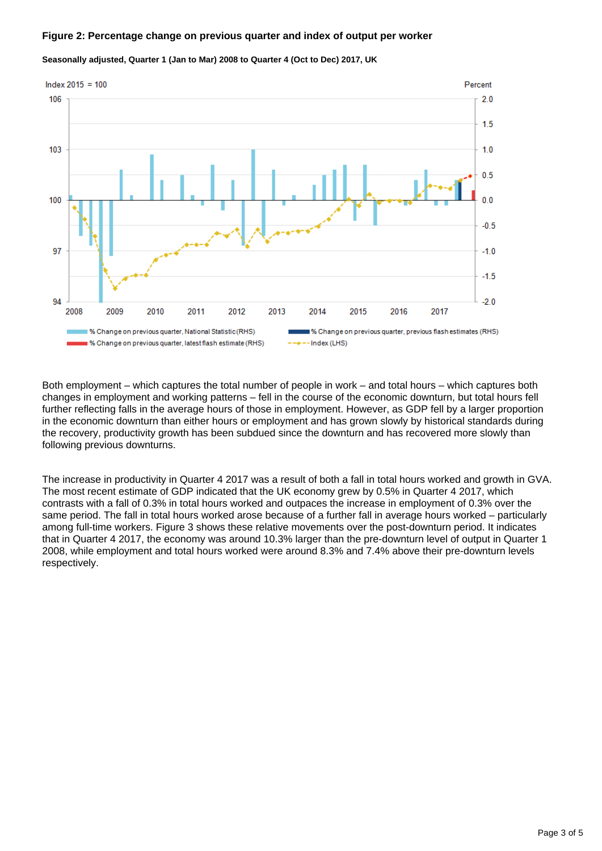#### **Figure 2: Percentage change on previous quarter and index of output per worker**



**Seasonally adjusted, Quarter 1 (Jan to Mar) 2008 to Quarter 4 (Oct to Dec) 2017, UK**

Both employment – which captures the total number of people in work – and total hours – which captures both changes in employment and working patterns – fell in the course of the economic downturn, but total hours fell further reflecting falls in the average hours of those in employment. However, as GDP fell by a larger proportion in the economic downturn than either hours or employment and has grown slowly by historical standards during the recovery, productivity growth has been subdued since the downturn and has recovered more slowly than following previous downturns.

The increase in productivity in Quarter 4 2017 was a result of both a fall in total hours worked and growth in GVA. The most recent estimate of GDP indicated that the UK economy grew by 0.5% in Quarter 4 2017, which contrasts with a fall of 0.3% in total hours worked and outpaces the increase in employment of 0.3% over the same period. The fall in total hours worked arose because of a further fall in average hours worked – particularly among full-time workers. Figure 3 shows these relative movements over the post-downturn period. It indicates that in Quarter 4 2017, the economy was around 10.3% larger than the pre-downturn level of output in Quarter 1 2008, while employment and total hours worked were around 8.3% and 7.4% above their pre-downturn levels respectively.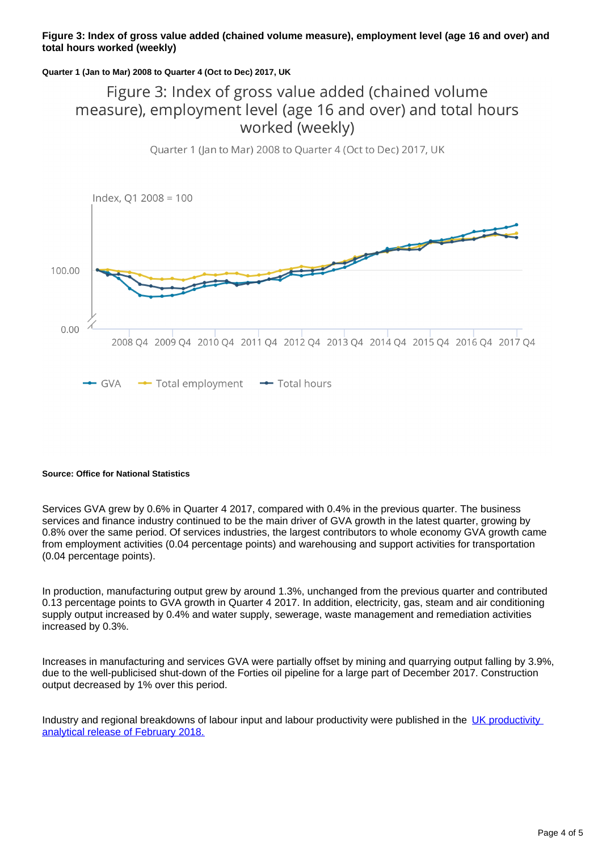#### **Figure 3: Index of gross value added (chained volume measure), employment level (age 16 and over) and total hours worked (weekly)**

#### **Quarter 1 (Jan to Mar) 2008 to Quarter 4 (Oct to Dec) 2017, UK**

### Figure 3: Index of gross value added (chained volume measure), employment level (age 16 and over) and total hours worked (weekly)



### Quarter 1 (Jan to Mar) 2008 to Quarter 4 (Oct to Dec) 2017, UK

#### **Source: Office for National Statistics**

Services GVA grew by 0.6% in Quarter 4 2017, compared with 0.4% in the previous quarter. The business services and finance industry continued to be the main driver of GVA growth in the latest quarter, growing by 0.8% over the same period. Of services industries, the largest contributors to whole economy GVA growth came from employment activities (0.04 percentage points) and warehousing and support activities for transportation (0.04 percentage points).

In production, manufacturing output grew by around 1.3%, unchanged from the previous quarter and contributed 0.13 percentage points to GVA growth in Quarter 4 2017. In addition, electricity, gas, steam and air conditioning supply output increased by 0.4% and water supply, sewerage, waste management and remediation activities increased by 0.3%.

Increases in manufacturing and services GVA were partially offset by mining and quarrying output falling by 3.9%, due to the well-publicised shut-down of the Forties oil pipeline for a large part of December 2017. Construction output decreased by 1% over this period.

Industry and regional breakdowns of labour input and labour productivity were published in the [UK productivity](https://www.ons.gov.uk/releases/ukproductivityanalyticalreleasefebruary2018)  [analytical release of February 2018.](https://www.ons.gov.uk/releases/ukproductivityanalyticalreleasefebruary2018)